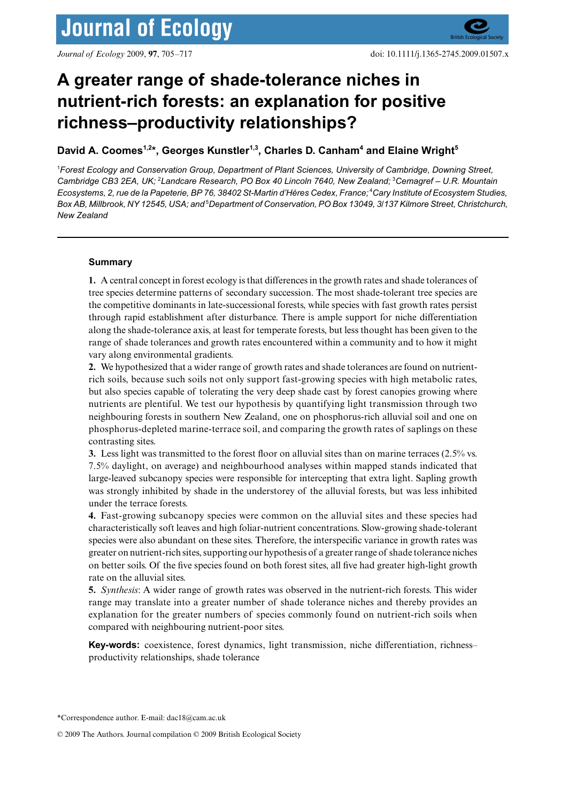# A greater range of shade-tolerance niches in **nutrient-rich forests: an explanation for positive richness–productivity relationships?**

David A. Coomes<sup>1,2</sup>\*, Georges Kunstler<sup>1,3</sup>, Charles D. Canham<sup>4</sup> and Elaine Wright<sup>5</sup>

1 *Forest Ecology and Conservation Group, Department of Plant Sciences, University of Cambridge, Downing Street, Cambridge CB3 2EA, UK;* <sup>2</sup> *Landcare Research, PO Box 40 Lincoln 7640, New Zealand;* <sup>3</sup> *Cemagref – U.R. Mountain Ecosystems, 2, rue de la Papeterie, BP 76, 38402 St-Martin d'Hères Cedex, France;* <sup>4</sup> *Cary Institute of Ecosystem Studies, Box AB, Millbrook, NY 12545, USA; and* <sup>5</sup> *Department of Conservation, PO Box 13049, 3/137 Kilmore Street, Christchurch, New Zealand*

# **Summary**

**1.** A central concept in forest ecology is that differences in the growth rates and shade tolerances of tree species determine patterns of secondary succession. The most shade-tolerant tree species are the competitive dominants in late-successional forests, while species with fast growth rates persist through rapid establishment after disturbance. There is ample support for niche differentiation along the shade-tolerance axis, at least for temperate forests, but less thought has been given to the range of shade tolerances and growth rates encountered within a community and to how it might vary along environmental gradients.

**2.** We hypothesized that a wider range of growth rates and shade tolerances are found on nutrientrich soils, because such soils not only support fast-growing species with high metabolic rates, but also species capable of tolerating the very deep shade cast by forest canopies growing where nutrients are plentiful. We test our hypothesis by quantifying light transmission through two neighbouring forests in southern New Zealand, one on phosphorus-rich alluvial soil and one on phosphorus-depleted marine-terrace soil, and comparing the growth rates of saplings on these contrasting sites.

**3.** Less light was transmitted to the forest floor on alluvial sites than on marine terraces (2.5% vs. 7.5% daylight, on average) and neighbourhood analyses within mapped stands indicated that large-leaved subcanopy species were responsible for intercepting that extra light. Sapling growth was strongly inhibited by shade in the understorey of the alluvial forests, but was less inhibited under the terrace forests.

**4.** Fast-growing subcanopy species were common on the alluvial sites and these species had characteristically soft leaves and high foliar-nutrient concentrations. Slow-growing shade-tolerant species were also abundant on these sites. Therefore, the interspecific variance in growth rates was greater on nutrient-rich sites, supporting our hypothesis of a greater range of shade tolerance niches on better soils. Of the five species found on both forest sites, all five had greater high-light growth rate on the alluvial sites.

**5.** *Synthesis*: A wider range of growth rates was observed in the nutrient-rich forests. This wider range may translate into a greater number of shade tolerance niches and thereby provides an explanation for the greater numbers of species commonly found on nutrient-rich soils when compared with neighbouring nutrient-poor sites.

**Key-words:** coexistence, forest dynamics, light transmission, niche differentiation, richness– productivity relationships, shade tolerance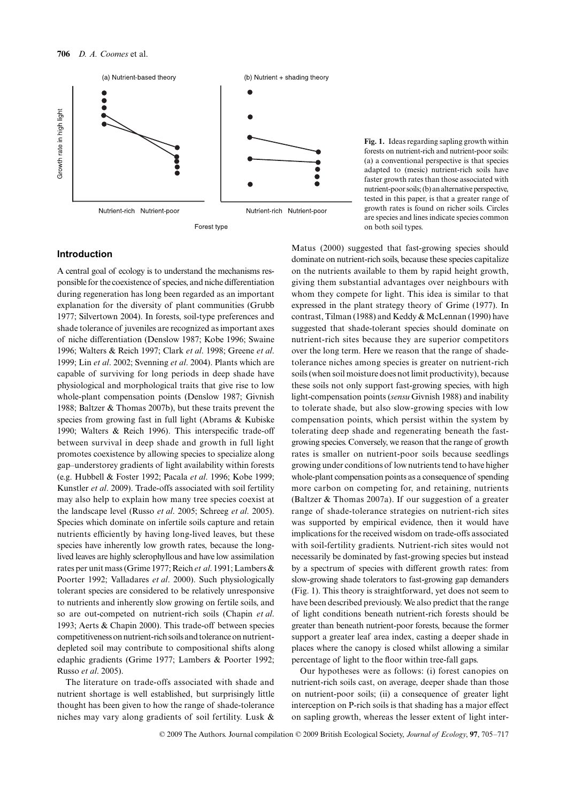

**Fig. 1.** Ideas regarding sapling growth within forests on nutrient-rich and nutrient-poor soils: (a) a conventional perspective is that species adapted to (mesic) nutrient-rich soils have faster growth rates than those associated with nutrient-poor soils; (b) an alternative perspective, tested in this paper, is that a greater range of growth rates is found on richer soils. Circles are species and lines indicate species common on both soil types.

## **Introduction**

A central goal of ecology is to understand the mechanisms responsible for the coexistence of species, and niche differentiation during regeneration has long been regarded as an important explanation for the diversity of plant communities (Grubb 1977; Silvertown 2004). In forests, soil-type preferences and shade tolerance of juveniles are recognized as important axes of niche differentiation (Denslow 1987; Kobe 1996; Swaine 1996; Walters & Reich 1997; Clark *et al*. 1998; Greene *et al*. 1999; Lin *et al*. 2002; Svenning *et al*. 2004). Plants which are capable of surviving for long periods in deep shade have physiological and morphological traits that give rise to low whole-plant compensation points (Denslow 1987; Givnish 1988; Baltzer & Thomas 2007b), but these traits prevent the species from growing fast in full light (Abrams & Kubiske 1990; Walters & Reich 1996). This interspecific trade-off between survival in deep shade and growth in full light promotes coexistence by allowing species to specialize along gap–understorey gradients of light availability within forests (e.g. Hubbell & Foster 1992; Pacala *et al*. 1996; Kobe 1999; Kunstler *et al*. 2009). Trade-offs associated with soil fertility may also help to explain how many tree species coexist at the landscape level (Russo *et al*. 2005; Schreeg *et al*. 2005). Species which dominate on infertile soils capture and retain nutrients efficiently by having long-lived leaves, but these species have inherently low growth rates, because the longlived leaves are highly sclerophyllous and have low assimilation rates per unit mass (Grime 1977; Reich *et al*. 1991; Lambers & Poorter 1992; Valladares *et al*. 2000). Such physiologically tolerant species are considered to be relatively unresponsive to nutrients and inherently slow growing on fertile soils, and so are out-competed on nutrient-rich soils (Chapin *et al*. 1993; Aerts & Chapin 2000). This trade-off between species competitiveness on nutrient-rich soils and tolerance on nutrientdepleted soil may contribute to compositional shifts along edaphic gradients (Grime 1977; Lambers & Poorter 1992; Russo *et al*. 2005).

The literature on trade-offs associated with shade and nutrient shortage is well established, but surprisingly little thought has been given to how the range of shade-tolerance niches may vary along gradients of soil fertility. Lusk &

Matus (2000) suggested that fast-growing species should dominate on nutrient-rich soils, because these species capitalize on the nutrients available to them by rapid height growth, giving them substantial advantages over neighbours with whom they compete for light. This idea is similar to that expressed in the plant strategy theory of Grime (1977). In contrast, Tilman (1988) and Keddy & McLennan (1990) have suggested that shade-tolerant species should dominate on nutrient-rich sites because they are superior competitors over the long term. Here we reason that the range of shadetolerance niches among species is greater on nutrient-rich soils (when soil moisture does not limit productivity), because these soils not only support fast-growing species, with high light-compensation points (*sensu* Givnish 1988) and inability to tolerate shade, but also slow-growing species with low compensation points, which persist within the system by tolerating deep shade and regenerating beneath the fastgrowing species. Conversely, we reason that the range of growth rates is smaller on nutrient-poor soils because seedlings growing under conditions of low nutrients tend to have higher whole-plant compensation points as a consequence of spending more carbon on competing for, and retaining, nutrients (Baltzer & Thomas 2007a). If our suggestion of a greater range of shade-tolerance strategies on nutrient-rich sites was supported by empirical evidence, then it would have implications for the received wisdom on trade-offs associated with soil-fertility gradients. Nutrient-rich sites would not necessarily be dominated by fast-growing species but instead by a spectrum of species with different growth rates: from slow-growing shade tolerators to fast-growing gap demanders (Fig. 1). This theory is straightforward, yet does not seem to have been described previously. We also predict that the range of light conditions beneath nutrient-rich forests should be greater than beneath nutrient-poor forests, because the former support a greater leaf area index, casting a deeper shade in places where the canopy is closed whilst allowing a similar percentage of light to the floor within tree-fall gaps.

Our hypotheses were as follows: (i) forest canopies on nutrient-rich soils cast, on average, deeper shade than those on nutrient-poor soils; (ii) a consequence of greater light interception on P-rich soils is that shading has a major effect on sapling growth, whereas the lesser extent of light inter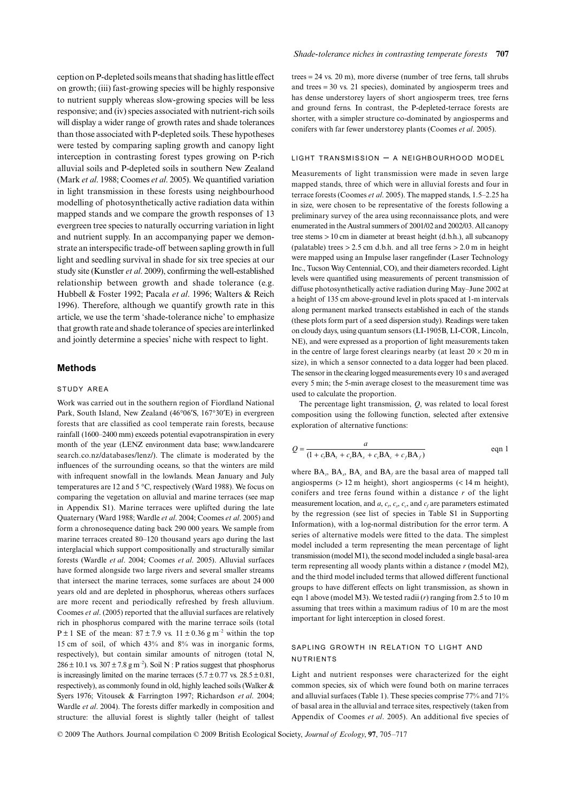ception on P-depleted soils means that shading has little effect on growth; (iii) fast-growing species will be highly responsive to nutrient supply whereas slow-growing species will be less responsive; and (iv) species associated with nutrient-rich soils will display a wider range of growth rates and shade tolerances than those associated with P-depleted soils. These hypotheses were tested by comparing sapling growth and canopy light interception in contrasting forest types growing on P-rich alluvial soils and P-depleted soils in southern New Zealand (Mark *et al*. 1988; Coomes *et al*. 2005). We quantified variation in light transmission in these forests using neighbourhood modelling of photosynthetically active radiation data within mapped stands and we compare the growth responses of 13 evergreen tree species to naturally occurring variation in light and nutrient supply. In an accompanying paper we demonstrate an interspecific trade-off between sapling growth in full light and seedling survival in shade for six tree species at our study site (Kunstler *et al*. 2009), confirming the well-established relationship between growth and shade tolerance (e.g. Hubbell & Foster 1992; Pacala *et al*. 1996; Walters & Reich 1996). Therefore, although we quantify growth rate in this article, we use the term 'shade-tolerance niche' to emphasize that growth rate and shade tolerance of species are interlinked and jointly determine a species' niche with respect to light.

#### **Methods**

#### STUDY AREA

Work was carried out in the southern region of Fiordland National Park, South Island, New Zealand (46°06′S, 167°30′E) in evergreen forests that are classified as cool temperate rain forests, because rainfall (1600–2400 mm) exceeds potential evapotranspiration in every month of the year (LENZ environment data base; [www.landcarere](http://www.landcarere) search.co.nz/databases/lenz/). The climate is moderated by the influences of the surrounding oceans, so that the winters are mild with infrequent snowfall in the lowlands. Mean January and July temperatures are 12 and 5 °C, respectively (Ward 1988). We focus on comparing the vegetation on alluvial and marine terraces (see map in Appendix S1). Marine terraces were uplifted during the late Quaternary (Ward 1988; Wardle *et al*. 2004; Coomes *et al*. 2005) and form a chronosequence dating back 290 000 years. We sample from marine terraces created 80–120 thousand years ago during the last interglacial which support compositionally and structurally similar forests (Wardle *et al*. 2004; Coomes *et al*. 2005). Alluvial surfaces have formed alongside two large rivers and several smaller streams that intersect the marine terraces, some surfaces are about 24 000 years old and are depleted in phosphorus, whereas others surfaces are more recent and periodically refreshed by fresh alluvium. Coomes *et al*. (2005) reported that the alluvial surfaces are relatively rich in phosphorus compared with the marine terrace soils (total P  $\pm$  1 SE of the mean: 87  $\pm$  7.9 vs. 11  $\pm$  0.36 g m<sup>-2</sup> within the top 15 cm of soil, of which 43% and 8% was in inorganic forms, respectively), but contain similar amounts of nitrogen (total N,  $286 \pm 10.1$  vs.  $307 \pm 7.8$  g m<sup>-2</sup>). Soil N : P ratios suggest that phosphorus is increasingly limited on the marine terraces  $(5.7 \pm 0.77 \text{ vs. } 28.5 \pm 0.81,$ respectively), as commonly found in old, highly leached soils (Walker & Syers 1976; Vitousek & Farrington 1997; Richardson *et al*. 2004; Wardle *et al*. 2004). The forests differ markedly in composition and structure: the alluvial forest is slightly taller (height of tallest

trees = 24 vs. 20 m), more diverse (number of tree ferns, tall shrubs and trees = 30 vs. 21 species), dominated by angiosperm trees and has dense understorey layers of short angiosperm trees, tree ferns and ground ferns. In contrast, the P-depleted-terrace forests are shorter, with a simpler structure co-dominated by angiosperms and conifers with far fewer understorey plants (Coomes *et al*. 2005).

#### LIGHT TRANSMISSION – A NEIGHBOURHOOD MODEL

Measurements of light transmission were made in seven large mapped stands, three of which were in alluvial forests and four in terrace forests (Coomes *et al*. 2005). The mapped stands, 1.5–2.25 ha in size, were chosen to be representative of the forests following a preliminary survey of the area using reconnaissance plots, and were enumerated in the Austral summers of 2001/02 and 2002/03. All canopy tree stems > 10 cm in diameter at breast height (d.b.h.), all subcanopy (palatable) trees  $> 2.5$  cm d.b.h. and all tree ferns  $> 2.0$  m in height were mapped using an Impulse laser rangefinder (Laser Technology Inc., Tucson Way Centennial, CO), and their diameters recorded. Light levels were quantified using measurements of percent transmission of diffuse photosynthetically active radiation during May–June 2002 at a height of 135 cm above-ground level in plots spaced at 1-m intervals along permanent marked transects established in each of the stands (these plots form part of a seed dispersion study). Readings were taken on cloudy days, using quantum sensors (LI-1905B, LI-COR, Lincoln, NE), and were expressed as a proportion of light measurements taken in the centre of large forest clearings nearby (at least  $20 \times 20$  m in size), in which a sensor connected to a data logger had been placed. The sensor in the clearing logged measurements every 10 s and averaged every 5 min; the 5-min average closest to the measurement time was used to calculate the proportion.

The percentage light transmission, *Q*, was related to local forest composition using the following function, selected after extensive exploration of alternative functions:

$$
Q = \frac{a}{(1 + c_r B A_r + c_s B A_s + c_c B A_c + c_f B A_f)}
$$
eqn 1

where  $BA_t$ ,  $BA_s$ ,  $BA_c$  and  $BA_f$  are the basal area of mapped tall angiosperms (> 12 m height), short angiosperms (< 14 m height), conifers and tree ferns found within a distance *r* of the light measurement location, and *a*,  $c_r$ ,  $c_s$ ,  $c_c$ , and  $c_f$  are parameters estimated by the regression (see list of species in Table S1 in Supporting Information), with a log-normal distribution for the error term. A series of alternative models were fitted to the data. The simplest model included a term representing the mean percentage of light transmission (model M1), the second model included a single basal-area term representing all woody plants within a distance *r* (model M2), and the third model included terms that allowed different functional groups to have different effects on light transmission, as shown in eqn 1 above (model M3). We tested radii (*r*) ranging from 2.5 to 10 m assuming that trees within a maximum radius of 10 m are the most important for light interception in closed forest.

#### SAPLING GROWTH IN RELATION TO LIGHT AND NUTRIENTS

Light and nutrient responses were characterized for the eight common species, six of which were found both on marine terraces and alluvial surfaces (Table 1). These species comprise 77% and 71% of basal area in the alluvial and terrace sites, respectively (taken from Appendix of Coomes *et al*. 2005). An additional five species of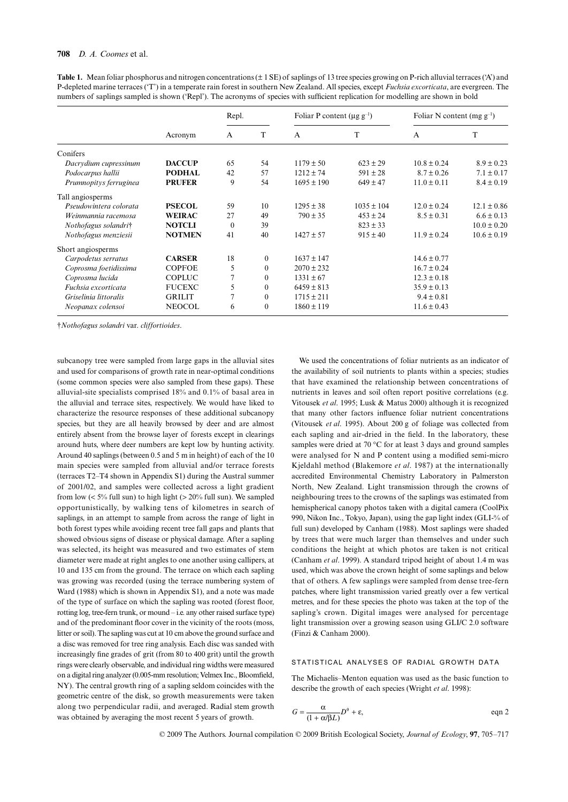|                        |               | Repl.    | Foliar P content ( $\mu$ g g <sup>-1</sup> ) |                |                | Foliar N content (mg $g^{-1}$ ) |                 |
|------------------------|---------------|----------|----------------------------------------------|----------------|----------------|---------------------------------|-----------------|
|                        | Acronym       | A        | T                                            | $\overline{A}$ | т              | $\overline{A}$                  | T               |
| Conifers               |               |          |                                              |                |                |                                 |                 |
| Dacrydium cupressinum  | <b>DACCUP</b> | 65       | 54                                           | $1179 \pm 50$  | $623 \pm 29$   | $10.8 \pm 0.24$                 | $8.9 \pm 0.23$  |
| Podocarpus hallii      | <b>PODHAL</b> | 42       | 57                                           | $1212 \pm 74$  | $591 \pm 28$   | $8.7 \pm 0.26$                  | $7.1 \pm 0.17$  |
| Prumnopitys ferruginea | <b>PRUFER</b> | 9        | 54                                           | $1695 \pm 190$ | $649 \pm 47$   | $11.0 \pm 0.11$                 | $8.4 \pm 0.19$  |
| Tall angiosperms       |               |          |                                              |                |                |                                 |                 |
| Pseudowintera colorata | <b>PSECOL</b> | 59       | 10                                           | $1295 \pm 38$  | $1035 \pm 104$ | $12.0 \pm 0.24$                 | $12.1 \pm 0.86$ |
| Weinmannia racemosa    | <b>WEIRAC</b> | 27       | 49                                           | $790 \pm 35$   | $453 \pm 24$   | $8.5 \pm 0.31$                  | $6.6 \pm 0.13$  |
| Nothofagus solandri†   | <b>NOTCLI</b> | $\theta$ | 39                                           |                | $823 \pm 33$   |                                 | $10.0 \pm 0.20$ |
| Nothofagus menziesii   | <b>NOTMEN</b> | 41       | 40                                           | $1427 \pm 57$  | $915 \pm 40$   | $11.9 \pm 0.24$                 | $10.6 \pm 0.19$ |
| Short angiosperms      |               |          |                                              |                |                |                                 |                 |
| Carpodetus serratus    | <b>CARSER</b> | 18       | $\overline{0}$                               | $1637 \pm 147$ |                | $14.6 \pm 0.77$                 |                 |
| Coprosma foetidissima  | <b>COPFOE</b> | 5        | $\overline{0}$                               | $2070 \pm 232$ |                | $16.7 \pm 0.24$                 |                 |
| Coprosma lucida        | <b>COPLUC</b> |          | $\overline{0}$                               | $1331 \pm 67$  |                | $12.3 \pm 0.18$                 |                 |
| Fuchsia excorticata    | <b>FUCEXC</b> | 5        | $\Omega$                                     | $6459 \pm 813$ |                | $35.9 \pm 0.13$                 |                 |
| Griselinia littoralis  | <b>GRILIT</b> |          | $\theta$                                     | $1715 \pm 211$ |                | $9.4 \pm 0.81$                  |                 |
| Neopanax colensoi      | <b>NEOCOL</b> | 6        | $\theta$                                     | $1860 \pm 119$ |                | $11.6 \pm 0.43$                 |                 |

Table 1. Mean foliar phosphorus and nitrogen concentrations  $(\pm 1 \text{ SE})$  of saplings of 13 tree species growing on P-rich alluvial terraces ('A') and P-depleted marine terraces ('T') in a temperate rain forest in southern New Zealand. All species, except *Fuchsia excorticata*, are evergreen. The numbers of saplings sampled is shown ('Repl'). The acronyms of species with sufficient replication for modelling are shown in bold

†*Nothofagus solandri* var. *cliffortioides*.

subcanopy tree were sampled from large gaps in the alluvial sites and used for comparisons of growth rate in near-optimal conditions (some common species were also sampled from these gaps). These alluvial-site specialists comprised 18% and 0.1% of basal area in the alluvial and terrace sites, respectively. We would have liked to characterize the resource responses of these additional subcanopy species, but they are all heavily browsed by deer and are almost entirely absent from the browse layer of forests except in clearings around huts, where deer numbers are kept low by hunting activity. Around 40 saplings (between 0.5 and 5 m in height) of each of the 10 main species were sampled from alluvial and/or terrace forests (terraces T2–T4 shown in Appendix S1) during the Austral summer of 2001/02, and samples were collected across a light gradient from low  $(< 5\%$  full sun) to high light  $(> 20\%$  full sun). We sampled opportunistically, by walking tens of kilometres in search of saplings, in an attempt to sample from across the range of light in both forest types while avoiding recent tree fall gaps and plants that showed obvious signs of disease or physical damage. After a sapling was selected, its height was measured and two estimates of stem diameter were made at right angles to one another using callipers, at 10 and 135 cm from the ground. The terrace on which each sapling was growing was recorded (using the terrace numbering system of Ward (1988) which is shown in Appendix S1), and a note was made of the type of surface on which the sapling was rooted (forest floor, rotting log, tree-fern trunk, or mound – i.e. any other raised surface type) and of the predominant floor cover in the vicinity of the roots (moss, litter or soil). The sapling was cut at 10 cm above the ground surface and a disc was removed for tree ring analysis. Each disc was sanded with increasingly fine grades of grit (from 80 to 400 grit) until the growth rings were clearly observable, and individual ring widths were measured on a digital ring analyzer (0.005-mm resolution; Velmex Inc., Bloomfield, NY). The central growth ring of a sapling seldom coincides with the geometric centre of the disk, so growth measurements were taken along two perpendicular radii, and averaged. Radial stem growth was obtained by averaging the most recent 5 years of growth.

We used the concentrations of foliar nutrients as an indicator of the availability of soil nutrients to plants within a species; studies that have examined the relationship between concentrations of nutrients in leaves and soil often report positive correlations (e.g. Vitousek *et al*. 1995; Lusk & Matus 2000) although it is recognized that many other factors influence foliar nutrient concentrations (Vitousek *et al*. 1995). About 200 g of foliage was collected from each sapling and air-dried in the field. In the laboratory, these samples were dried at 70 °C for at least 3 days and ground samples were analysed for N and P content using a modified semi-micro Kjeldahl method (Blakemore *et al*. 1987) at the internationally accredited Environmental Chemistry Laboratory in Palmerston North, New Zealand. Light transmission through the crowns of neighbouring trees to the crowns of the saplings was estimated from hemispherical canopy photos taken with a digital camera (CoolPix 990, Nikon Inc., Tokyo, Japan), using the gap light index (GLI-% of full sun) developed by Canham (1988). Most saplings were shaded by trees that were much larger than themselves and under such conditions the height at which photos are taken is not critical (Canham *et al*. 1999). A standard tripod height of about 1.4 m was used, which was above the crown height of some saplings and below that of others. A few saplings were sampled from dense tree-fern patches, where light transmission varied greatly over a few vertical metres, and for these species the photo was taken at the top of the sapling's crown. Digital images were analysed for percentage light transmission over a growing season using GLI/C 2.0 software (Finzi & Canham 2000).

#### STATISTICAL ANALYSES OF RADIAL GROWTH DATA

The Michaelis–Menton equation was used as the basic function to describe the growth of each species (Wright *et al*. 1998):

$$
G = \frac{\alpha}{(1 + \alpha/\beta L)} D^{\phi} + \varepsilon,
$$
eqn 2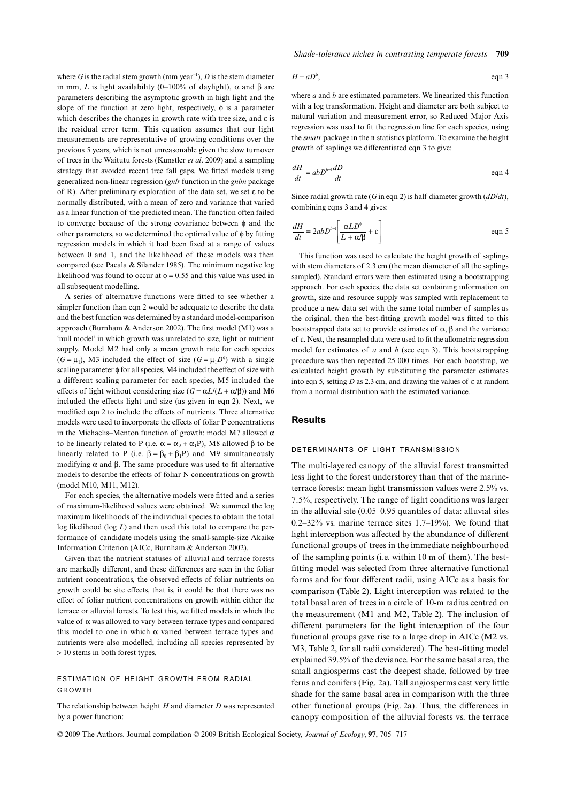where *G* is the radial stem growth (mm year<sup>-1</sup>), *D* is the stem diameter in mm, *L* is light availability (0–100% of daylight),  $\alpha$  and  $\beta$  are parameters describing the asymptotic growth in high light and the slope of the function at zero light, respectively,  $\phi$  is a parameter which describes the changes in growth rate with tree size, and  $\varepsilon$  is the residual error term. This equation assumes that our light measurements are representative of growing conditions over the previous 5 years, which is not unreasonable given the slow turnover of trees in the Waitutu forests (Kunstler *et al*. 2009) and a sampling strategy that avoided recent tree fall gaps. We fitted models using generalized non-linear regression (*gnlr* function in the *gnlm* package of R). After preliminary exploration of the data set, we set ε to be normally distributed, with a mean of zero and variance that varied as a linear function of the predicted mean. The function often failed to converge because of the strong covariance between φ and the other parameters, so we determined the optimal value of φ by fitting regression models in which it had been fixed at a range of values between 0 and 1, and the likelihood of these models was then compared (see Pacala & Silander 1985). The minimum negative log likelihood was found to occur at  $\phi = 0.55$  and this value was used in all subsequent modelling.

A series of alternative functions were fitted to see whether a simpler function than eqn 2 would be adequate to describe the data and the best function was determined by a standard model-comparison approach (Burnham & Anderson 2002). The first model (M1) was a 'null model' in which growth was unrelated to size, light or nutrient supply. Model M2 had only a mean growth rate for each species  $(G = \mu_1)$ , M3 included the effect of size  $(G = \mu_1 D^{\phi})$  with a single scaling parameter φ for all species, M4 included the effect of size with a different scaling parameter for each species, M5 included the effects of light without considering size  $(G = \alpha L/(L + \alpha/\beta))$  and M6 included the effects light and size (as given in eqn 2). Next, we modified eqn 2 to include the effects of nutrients. Three alternative models were used to incorporate the effects of foliar P concentrations in the Michaelis–Menton function of growth: model M7 allowed  $\alpha$ to be linearly related to P (i.e.  $\alpha = \alpha_0 + \alpha_1 P$ ), M8 allowed  $\beta$  to be linearly related to P (i.e.  $\beta = \beta_0 + \beta_1 P$ ) and M9 simultaneously modifying  $\alpha$  and  $\beta$ . The same procedure was used to fit alternative models to describe the effects of foliar N concentrations on growth (model M10, M11, M12).

For each species, the alternative models were fitted and a series of maximum-likelihood values were obtained. We summed the log maximum likelihoods of the individual species to obtain the total log likelihood (log *L*) and then used this total to compare the performance of candidate models using the small-sample-size Akaike Information Criterion (AICc, Burnham & Anderson 2002).

Given that the nutrient statuses of alluvial and terrace forests are markedly different, and these differences are seen in the foliar nutrient concentrations, the observed effects of foliar nutrients on growth could be site effects, that is, it could be that there was no effect of foliar nutrient concentrations on growth within either the terrace or alluvial forests. To test this, we fitted models in which the value of α was allowed to vary between terrace types and compared this model to one in which  $\alpha$  varied between terrace types and nutrients were also modelled, including all species represented by > 10 stems in both forest types.

#### ESTIMATION OF HEIGHT GROWTH FROM RADIAL GROWTH

The relationship between height *H* and diameter *D* was represented by a power function:

$$
H = aD^b, \qquad \text{eqn 3}
$$

where *a* and *b* are estimated parameters. We linearized this function with a log transformation. Height and diameter are both subject to natural variation and measurement error, so Reduced Major Axis regression was used to fit the regression line for each species, using the *smatr* package in the r statistics platform. To examine the height growth of saplings we differentiated eqn 3 to give:

$$
\frac{dH}{dt} = abD^{b-1}\frac{dD}{dt}
$$
eqn 4

Since radial growth rate (*G* in eqn 2) is half diameter growth (*dD*/*dt*), combining eqns 3 and 4 gives:

$$
\frac{dH}{dt} = 2abD^{b-1}\left[\frac{\alpha LD^{\phi}}{L + \alpha/\beta} + \varepsilon\right]
$$
eqn 5

This function was used to calculate the height growth of saplings with stem diameters of 2.3 cm (the mean diameter of all the saplings sampled). Standard errors were then estimated using a bootstrapping approach. For each species, the data set containing information on growth, size and resource supply was sampled with replacement to produce a new data set with the same total number of samples as the original, then the best-fitting growth model was fitted to this bootstrapped data set to provide estimates of α, β and the variance of ε. Next, the resampled data were used to fit the allometric regression model for estimates of *a* and *b* (see eqn 3). This bootstrapping procedure was then repeated 25 000 times. For each bootstrap, we calculated height growth by substituting the parameter estimates into eqn 5, setting *D* as 2.3 cm, and drawing the values of ε at random from a normal distribution with the estimated variance.

# **Results**

#### DETERMINANTS OF LIGHT TRANSMISSION

The multi-layered canopy of the alluvial forest transmitted less light to the forest understorey than that of the marineterrace forests: mean light transmission values were 2.5% vs. 7.5%, respectively. The range of light conditions was larger in the alluvial site (0.05–0.95 quantiles of data: alluvial sites  $0.2-32\%$  vs. marine terrace sites  $1.7-19\%$ ). We found that light interception was affected by the abundance of different functional groups of trees in the immediate neighbourhood of the sampling points (i.e. within 10 m of them). The bestfitting model was selected from three alternative functional forms and for four different radii, using AICc as a basis for comparison (Table 2). Light interception was related to the total basal area of trees in a circle of 10-m radius centred on the measurement (M1 and M2, Table 2). The inclusion of different parameters for the light interception of the four functional groups gave rise to a large drop in AICc (M2 vs. M3, Table 2, for all radii considered). The best-fitting model explained 39.5% of the deviance. For the same basal area, the small angiosperms cast the deepest shade, followed by tree ferns and conifers (Fig. 2a). Tall angiosperms cast very little shade for the same basal area in comparison with the three other functional groups (Fig. 2a). Thus, the differences in canopy composition of the alluvial forests vs. the terrace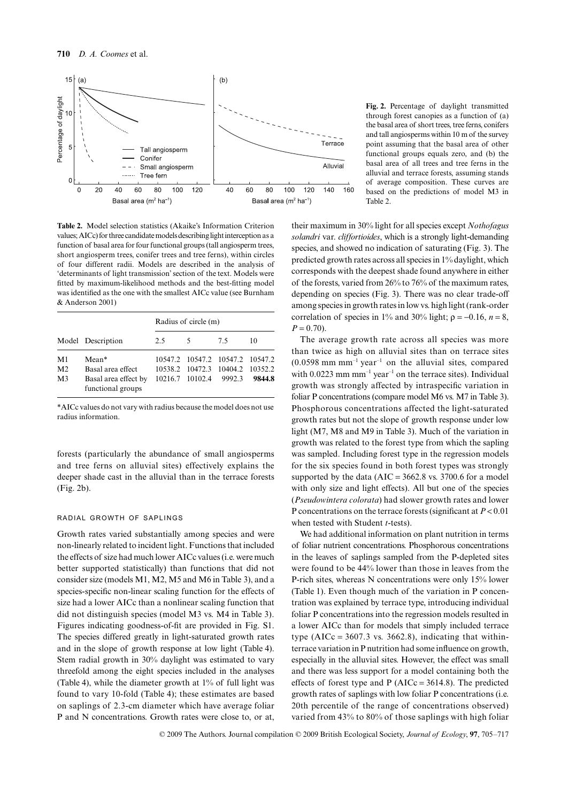

**Table 2.** Model selection statistics (Akaike's Information Criterion values; AICc) for three candidate models describing light interception as a function of basal area for four functional groups (tall angiosperm trees, short angiosperm trees, conifer trees and tree ferns), within circles of four different radii. Models are described in the analysis of 'determinants of light transmission' section of the text. Models were fitted by maximum-likelihood methods and the best-fitting model was identified as the one with the smallest AICc value (see Burnham & Anderson 2001)

|                                        |                                                                           | Radius of circle (m) |                 |                                                                              |        |  |  |  |
|----------------------------------------|---------------------------------------------------------------------------|----------------------|-----------------|------------------------------------------------------------------------------|--------|--|--|--|
|                                        | Model Description                                                         | 2.5                  | 5.              | 75                                                                           | 10     |  |  |  |
| M1<br>M <sub>2</sub><br>M <sub>3</sub> | $Mean*$<br>Basal area effect<br>Basal area effect by<br>functional groups |                      | 10216.7 10102.4 | 10547.2 10547.2 10547.2 10547.2<br>10538.2 10472.3 10404.2 10352.2<br>9992.3 | 9844.8 |  |  |  |

\*AICc values do not vary with radius because the model does not use radius information.

forests (particularly the abundance of small angiosperms and tree ferns on alluvial sites) effectively explains the deeper shade cast in the alluvial than in the terrace forests (Fig. 2b).

#### RADIAL GROWTH OF SAPLINGS

Growth rates varied substantially among species and were non-linearly related to incident light. Functions that included the effects of size had much lower AICc values (i.e. were much better supported statistically) than functions that did not consider size (models M1, M2, M5 and M6 in Table 3), and a species-specific non-linear scaling function for the effects of size had a lower AICc than a nonlinear scaling function that did not distinguish species (model M3 vs. M4 in Table 3). Figures indicating goodness-of-fit are provided in Fig. S1. The species differed greatly in light-saturated growth rates and in the slope of growth response at low light (Table 4). Stem radial growth in 30% daylight was estimated to vary threefold among the eight species included in the analyses (Table 4), while the diameter growth at 1% of full light was found to vary 10-fold (Table 4); these estimates are based on saplings of 2.3-cm diameter which have average foliar P and N concentrations. Growth rates were close to, or at,

**Fig. 2.** Percentage of daylight transmitted through forest canopies as a function of (a) the basal area of short trees, tree ferns, conifers and tall angiosperms within 10 m of the survey point assuming that the basal area of other functional groups equals zero, and (b) the basal area of all trees and tree ferns in the alluvial and terrace forests, assuming stands of average composition. These curves are based on the predictions of model M3 in Table 2.

their maximum in 30% light for all species except *Nothofagus solandri* var. *cliffortioides*, which is a strongly light-demanding species, and showed no indication of saturating (Fig. 3). The predicted growth rates across all species in 1% daylight, which corresponds with the deepest shade found anywhere in either of the forests, varied from 26% to 76% of the maximum rates, depending on species (Fig. 3). There was no clear trade-off among species in growth rates in low vs. high light (rank-order correlation of species in 1% and 30% light;  $\rho = -0.16$ ,  $n = 8$ ,  $P = 0.70$ .

The average growth rate across all species was more than twice as high on alluvial sites than on terrace sites  $(0.0598 \text{ mm mm}^{-1} \text{ year}^{-1}$  on the alluvial sites, compared with 0.0223 mm mm<sup>-1</sup> year<sup>-1</sup> on the terrace sites). Individual growth was strongly affected by intraspecific variation in foliar P concentrations (compare model M6 vs. M7 in Table 3). Phosphorous concentrations affected the light-saturated growth rates but not the slope of growth response under low light (M7, M8 and M9 in Table 3). Much of the variation in growth was related to the forest type from which the sapling was sampled. Including forest type in the regression models for the six species found in both forest types was strongly supported by the data  $(AIC = 3662.8 \text{ vs. } 3700.6 \text{ for a model})$ with only size and light effects). All but one of the species (*Pseudowintera colorata*) had slower growth rates and lower P concentrations on the terrace forests (significant at *P* < 0.01 when tested with Student *t*-tests).

We had additional information on plant nutrition in terms of foliar nutrient concentrations. Phosphorous concentrations in the leaves of saplings sampled from the P-depleted sites were found to be 44% lower than those in leaves from the P-rich sites, whereas N concentrations were only 15% lower (Table 1). Even though much of the variation in P concentration was explained by terrace type, introducing individual foliar P concentrations into the regression models resulted in a lower AICc than for models that simply included terrace type  $(AICc = 3607.3 \text{ vs. } 3662.8)$ , indicating that withinterrace variation in P nutrition had some influence on growth, especially in the alluvial sites. However, the effect was small and there was less support for a model containing both the effects of forest type and  $P(AICc = 3614.8)$ . The predicted growth rates of saplings with low foliar P concentrations (i.e. 20th percentile of the range of concentrations observed) varied from 43% to 80% of those saplings with high foliar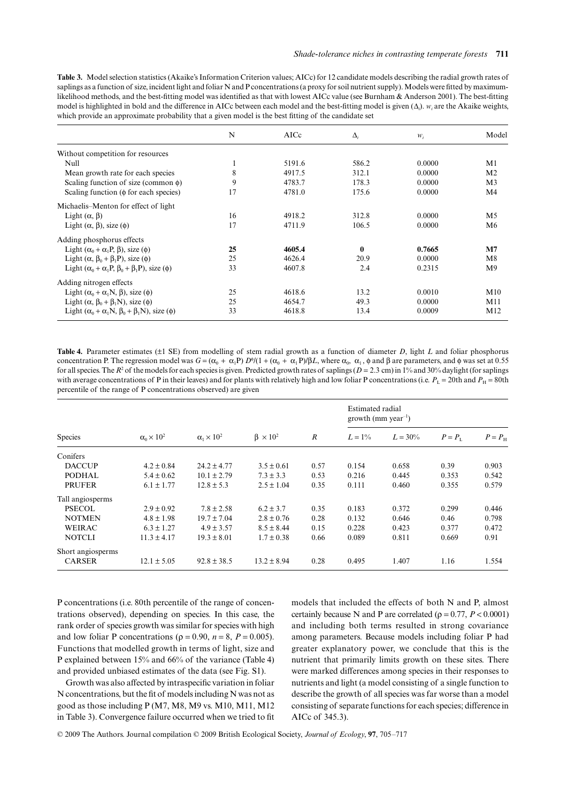| <b>Table 3.</b> Model selection statistics (Akaike's Information Criterion values; AICc) for 12 candidate models describing the radial growth rates of    |
|-----------------------------------------------------------------------------------------------------------------------------------------------------------|
| saplings as a function of size, incident light and foliar N and P concentrations (a proxy for soil nutrient supply). Models were fitted by maximum-       |
| likelihood methods, and the best-fitting model was identified as that with lowest AICc value (see Burnham & Anderson 2001). The best-fitting              |
| model is highlighted in bold and the difference in AICc between each model and the best-fitting model is given $(\Delta)$ , $w_i$ are the Akaike weights, |
| which provide an approximate probability that a given model is the best fitting of the candidate set                                                      |

 $\mathcal{L}^{\text{max}}$ 

and the state of

|                                                                        | N  | AICc   | $\Delta_i$ | $W_i$  | Model          |
|------------------------------------------------------------------------|----|--------|------------|--------|----------------|
| Without competition for resources                                      |    |        |            |        |                |
| Null                                                                   | 1  | 5191.6 | 586.2      | 0.0000 | M1             |
| Mean growth rate for each species                                      | 8  | 4917.5 | 312.1      | 0.0000 | M <sub>2</sub> |
| Scaling function of size (common $\phi$ )                              | 9  | 4783.7 | 178.3      | 0.0000 | M <sub>3</sub> |
| Scaling function ( $\phi$ for each species)                            | 17 | 4781.0 | 175.6      | 0.0000 | M <sub>4</sub> |
| Michaelis–Menton for effect of light                                   |    |        |            |        |                |
| Light $(\alpha, \beta)$                                                | 16 | 4918.2 | 312.8      | 0.0000 | M <sub>5</sub> |
| Light $(\alpha, \beta)$ , size $(\phi)$                                | 17 | 4711.9 | 106.5      | 0.0000 | M6             |
| Adding phosphorus effects                                              |    |        |            |        |                |
| Light $(\alpha_0 + \alpha_1 P, \beta)$ , size ( $\phi$ )               | 25 | 4605.4 | $\bf{0}$   | 0.7665 | M7             |
| Light $(\alpha, \beta_0 + \beta_1 P)$ , size $(\phi)$                  | 25 | 4626.4 | 20.9       | 0.0000 | M8             |
| Light $(\alpha_0 + \alpha_1 P, \beta_0 + \beta_1 P)$ , size ( $\phi$ ) | 33 | 4607.8 | 2.4        | 0.2315 | M <sup>9</sup> |
| Adding nitrogen effects                                                |    |        |            |        |                |
| Light $(\alpha_0 + \alpha_1 N, \beta)$ , size ( $\phi$ )               | 25 | 4618.6 | 13.2       | 0.0010 | M10            |
| Light $(\alpha, \beta_0 + \beta_1 N)$ , size $(\phi)$                  | 25 | 4654.7 | 49.3       | 0.0000 | M11            |
| Light $(\alpha_0 + \alpha_1 N, \beta_0 + \beta_1 N)$ , size ( $\phi$ ) | 33 | 4618.8 | 13.4       | 0.0009 | M12            |

**Table 4.** Parameter estimates (±1 SE) from modelling of stem radial growth as a function of diameter *D*, light *L* and foliar phosphorus concentration P. The regression model was  $G = (\alpha_0 + \alpha_1 P) D^{\phi}/(1 + (\alpha_0 + \alpha_1 P) / \beta L)$ , where  $\alpha_0$ ,  $\alpha_1$ ,  $\phi$  and  $\beta$  are parameters, and  $\phi$  was set at 0.55 for all species. The  $R^2$  of the models for each species is given. Predicted growth rates of saplings ( $D = 2.3$  cm) in 1% and 30% daylight (for saplings with average concentrations of P in their leaves) and for plants with relatively high and low foliar P concentrations (i.e.  $P_L = 20$ th and  $P_H = 80$ th percentile of the range of P concentrations observed) are given

| Species           | $\alpha_0 \times 10^2$ | $\alpha_1 \times 10^2$ | $\beta \times 10^2$ | $\boldsymbol{R}$ | Estimated radial<br>growth (mm year <sup>-1</sup> ) |            |                 |                 |
|-------------------|------------------------|------------------------|---------------------|------------------|-----------------------------------------------------|------------|-----------------|-----------------|
|                   |                        |                        |                     |                  | $L = 1\%$                                           | $L = 30\%$ | $P = P_{\perp}$ | $P = P_{\rm H}$ |
| Conifers          |                        |                        |                     |                  |                                                     |            |                 |                 |
| <b>DACCUP</b>     | $4.2 \pm 0.84$         | $24.2 \pm 4.77$        | $3.5 \pm 0.61$      | 0.57             | 0.154                                               | 0.658      | 0.39            | 0.903           |
| <b>PODHAL</b>     | $5.4 \pm 0.62$         | $10.1 \pm 2.79$        | $7.3 \pm 3.3$       | 0.53             | 0.216                                               | 0.445      | 0.353           | 0.542           |
| <b>PRUFER</b>     | $6.1 \pm 1.77$         | $12.8 \pm 5.3$         | $2.5 \pm 1.04$      | 0.35             | 0.111                                               | 0.460      | 0.355           | 0.579           |
| Tall angiosperms  |                        |                        |                     |                  |                                                     |            |                 |                 |
| <b>PSECOL</b>     | $2.9 \pm 0.92$         | $7.8 \pm 2.58$         | $6.2 \pm 3.7$       | 0.35             | 0.183                                               | 0.372      | 0.299           | 0.446           |
| <b>NOTMEN</b>     | $4.8 \pm 1.98$         | $19.7 \pm 7.04$        | $2.8 \pm 0.76$      | 0.28             | 0.132                                               | 0.646      | 0.46            | 0.798           |
| <b>WEIRAC</b>     | $6.3 \pm 1.27$         | $4.9 \pm 3.57$         | $8.5 \pm 8.44$      | 0.15             | 0.228                                               | 0.423      | 0.377           | 0.472           |
| <b>NOTCLI</b>     | $11.3 \pm 4.17$        | $19.3 \pm 8.01$        | $1.7 \pm 0.38$      | 0.66             | 0.089                                               | 0.811      | 0.669           | 0.91            |
| Short angiosperms |                        |                        |                     |                  |                                                     |            |                 |                 |
| <b>CARSER</b>     | $12.1 \pm 5.05$        | $92.8 \pm 38.5$        | $13.2 \pm 8.94$     | 0.28             | 0.495                                               | 1.407      | 1.16            | 1.554           |

P concentrations (i.e. 80th percentile of the range of concentrations observed), depending on species. In this case, the rank order of species growth was similar for species with high and low foliar P concentrations ( $\rho = 0.90$ ,  $n = 8$ ,  $P = 0.005$ ). Functions that modelled growth in terms of light, size and P explained between 15% and 66% of the variance (Table 4) and provided unbiased estimates of the data (see Fig. S1).

Growth was also affected by intraspecific variation in foliar N concentrations, but the fit of models including N was not as good as those including P (M7, M8, M9 vs. M10, M11, M12 in Table 3). Convergence failure occurred when we tried to fit models that included the effects of both N and P, almost certainly because N and P are correlated ( $\rho = 0.77$ ,  $P < 0.0001$ ) and including both terms resulted in strong covariance among parameters. Because models including foliar P had greater explanatory power, we conclude that this is the nutrient that primarily limits growth on these sites. There were marked differences among species in their responses to nutrients and light (a model consisting of a single function to describe the growth of all species was far worse than a model consisting of separate functions for each species; difference in AICc of 345.3).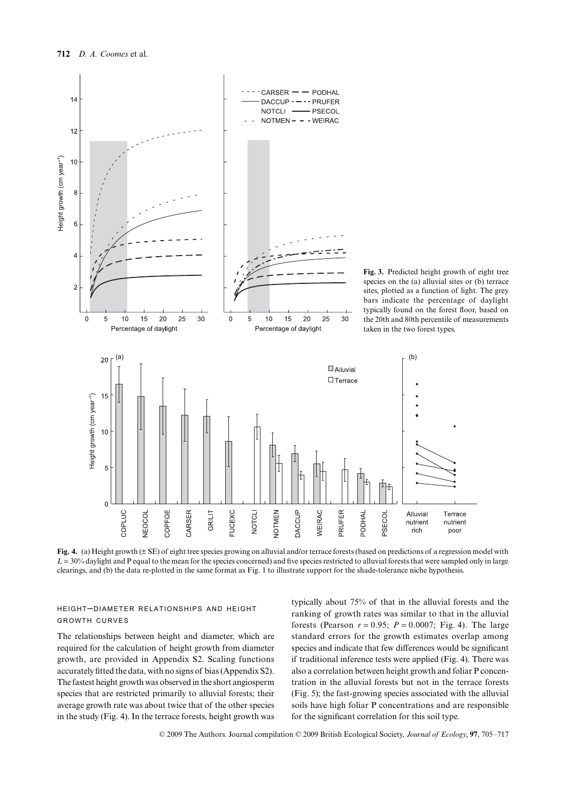

**Fig. 4.** (a) Height growth (± SE) of eight tree species growing on alluvial and/or terrace forests (based on predictions of a regression model with *L* = 30% daylight and P equal to the mean for the species concerned) and five species restricted to alluvial forests that were sampled only in large clearings, and (b) the data re-plotted in the same format as Fig. 1 to illustrate support for the shade-tolerance niche hypothesis.

### HEIGHT–DIAMETER RELATIONSHIPS AND HEIGHT GROWTH CURVES

The relationships between height and diameter, which are required for the calculation of height growth from diameter growth, are provided in Appendix S2. Scaling functions accurately fitted the data, with no signs of bias (Appendix S2). The fastest height growth was observed in the short angiosperm species that are restricted primarily to alluvial forests; their average growth rate was about twice that of the other species in the study (Fig. 4). In the terrace forests, height growth was typically about 75% of that in the alluvial forests and the ranking of growth rates was similar to that in the alluvial forests (Pearson  $r = 0.95$ ;  $P = 0.0007$ ; Fig. 4). The large standard errors for the growth estimates overlap among species and indicate that few differences would be significant if traditional inference tests were applied (Fig. 4). There was also a correlation between height growth and foliar P concentration in the alluvial forests but not in the terrace forests (Fig. 5); the fast-growing species associated with the alluvial soils have high foliar P concentrations and are responsible for the significant correlation for this soil type.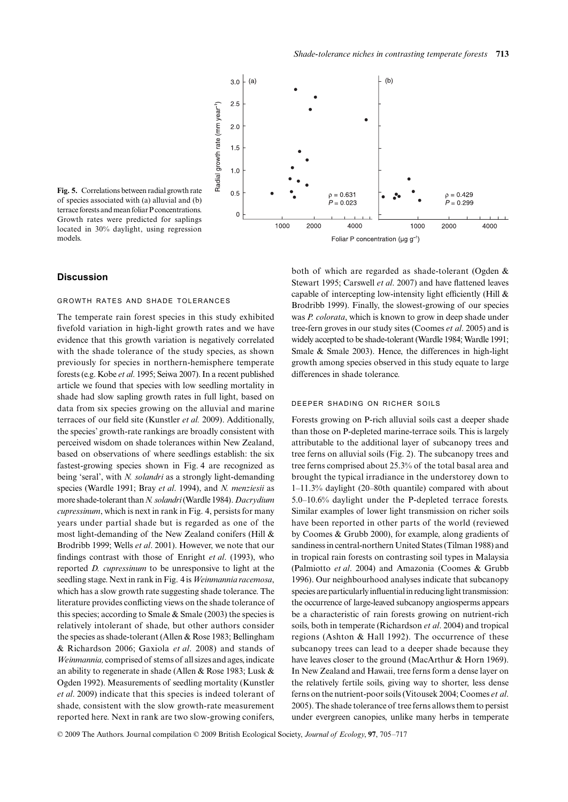

**Fig. 5.** Correlations between radial growth rate of species associated with (a) alluvial and (b) terrace forests and mean foliar P concentrations. Growth rates were predicted for saplings located in 30% daylight, using regression models.

#### **Discussion**

#### GROWTH RATES AND SHADE TOLERANCES

The temperate rain forest species in this study exhibited fivefold variation in high-light growth rates and we have evidence that this growth variation is negatively correlated with the shade tolerance of the study species, as shown previously for species in northern-hemisphere temperate forests (e.g. Kobe *et al*. 1995; Seiwa 2007). In a recent published article we found that species with low seedling mortality in shade had slow sapling growth rates in full light, based on data from six species growing on the alluvial and marine terraces of our field site (Kunstler *et al.* 2009). Additionally, the species' growth-rate rankings are broadly consistent with perceived wisdom on shade tolerances within New Zealand, based on observations of where seedlings establish: the six fastest-growing species shown in Fig. 4 are recognized as being 'seral', with *N. solandri* as a strongly light-demanding species (Wardle 1991; Bray *et al*. 1994), and *N. menziesii* as more shade-tolerant than *N. solandri* (Wardle 1984). *Dacrydium cupressinum*, which is next in rank in Fig. 4, persists for many years under partial shade but is regarded as one of the most light-demanding of the New Zealand conifers (Hill & Brodribb 1999; Wells *et al*. 2001). However, we note that our findings contrast with those of Enright *et al*. (1993), who reported *D. cupressinum* to be unresponsive to light at the seedling stage. Next in rank in Fig. 4 is *Weinmannia racemosa*, which has a slow growth rate suggesting shade tolerance. The literature provides conflicting views on the shade tolerance of this species; according to Smale  $&$  Smale (2003) the species is relatively intolerant of shade, but other authors consider the species as shade-tolerant (Allen & Rose 1983; Bellingham & Richardson 2006; Gaxiola *et al*. 2008) and stands of *Weinmannia,* comprised of stems of all sizes and ages, indicate an ability to regenerate in shade (Allen & Rose 1983; Lusk & Ogden 1992). Measurements of seedling mortality (Kunstler *et al*. 2009) indicate that this species is indeed tolerant of shade, consistent with the slow growth-rate measurement reported here. Next in rank are two slow-growing conifers,

both of which are regarded as shade-tolerant (Ogden & Stewart 1995; Carswell *et al*. 2007) and have flattened leaves capable of intercepting low-intensity light efficiently (Hill  $\&$ Brodribb 1999). Finally, the slowest-growing of our species was *P. colorata*, which is known to grow in deep shade under tree-fern groves in our study sites (Coomes *et al*. 2005) and is widely accepted to be shade-tolerant (Wardle 1984; Wardle 1991; Smale & Smale 2003). Hence, the differences in high-light growth among species observed in this study equate to large differences in shade tolerance.

#### DEEPER SHADING ON RICHER SOILS

Forests growing on P-rich alluvial soils cast a deeper shade than those on P-depleted marine-terrace soils. This is largely attributable to the additional layer of subcanopy trees and tree ferns on alluvial soils (Fig. 2). The subcanopy trees and tree ferns comprised about 25.3% of the total basal area and brought the typical irradiance in the understorey down to 1–11.3% daylight (20–80th quantile) compared with about 5.0–10.6% daylight under the P-depleted terrace forests. Similar examples of lower light transmission on richer soils have been reported in other parts of the world (reviewed by Coomes & Grubb 2000), for example, along gradients of sandiness in central-northern United States (Tilman 1988) and in tropical rain forests on contrasting soil types in Malaysia (Palmiotto *et al*. 2004) and Amazonia (Coomes & Grubb 1996). Our neighbourhood analyses indicate that subcanopy species are particularly influential in reducing light transmission: the occurrence of large-leaved subcanopy angiosperms appears be a characteristic of rain forests growing on nutrient-rich soils, both in temperate (Richardson *et al*. 2004) and tropical regions (Ashton & Hall 1992). The occurrence of these subcanopy trees can lead to a deeper shade because they have leaves closer to the ground (MacArthur & Horn 1969). In New Zealand and Hawaii, tree ferns form a dense layer on the relatively fertile soils, giving way to shorter, less dense ferns on the nutrient-poor soils (Vitousek 2004; Coomes *et al*. 2005). The shade tolerance of tree ferns allows them to persist under evergreen canopies, unlike many herbs in temperate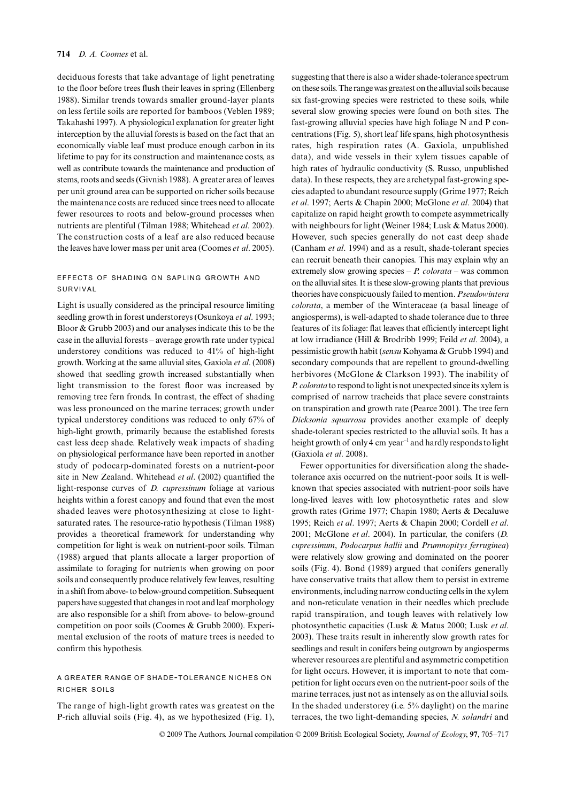deciduous forests that take advantage of light penetrating to the floor before trees flush their leaves in spring (Ellenberg 1988). Similar trends towards smaller ground-layer plants on less fertile soils are reported for bamboos (Veblen 1989; Takahashi 1997). A physiological explanation for greater light interception by the alluvial forests is based on the fact that an economically viable leaf must produce enough carbon in its lifetime to pay for its construction and maintenance costs, as well as contribute towards the maintenance and production of stems, roots and seeds (Givnish 1988). A greater area of leaves per unit ground area can be supported on richer soils because the maintenance costs are reduced since trees need to allocate fewer resources to roots and below-ground processes when nutrients are plentiful (Tilman 1988; Whitehead *et al*. 2002). The construction costs of a leaf are also reduced because the leaves have lower mass per unit area (Coomes *et al*. 2005).

### EFFECTS OF SHADING ON SAPLING GROWTH AND SURVIVAL

Light is usually considered as the principal resource limiting seedling growth in forest understoreys (Osunkoya *et al*. 1993; Bloor & Grubb 2003) and our analyses indicate this to be the case in the alluvial forests – average growth rate under typical understorey conditions was reduced to 41% of high-light growth. Working at the same alluvial sites, Gaxiola *et al*. (2008) showed that seedling growth increased substantially when light transmission to the forest floor was increased by removing tree fern fronds. In contrast, the effect of shading was less pronounced on the marine terraces; growth under typical understorey conditions was reduced to only 67% of high-light growth, primarily because the established forests cast less deep shade. Relatively weak impacts of shading on physiological performance have been reported in another study of podocarp-dominated forests on a nutrient-poor site in New Zealand. Whitehead *et al*. (2002) quantified the light-response curves of *D. cupressinum* foliage at various heights within a forest canopy and found that even the most shaded leaves were photosynthesizing at close to lightsaturated rates. The resource-ratio hypothesis (Tilman 1988) provides a theoretical framework for understanding why competition for light is weak on nutrient-poor soils. Tilman (1988) argued that plants allocate a larger proportion of assimilate to foraging for nutrients when growing on poor soils and consequently produce relatively few leaves, resulting in a shift from above- to below-ground competition. Subsequent papers have suggested that changes in root and leaf morphology are also responsible for a shift from above- to below-ground competition on poor soils (Coomes & Grubb 2000). Experimental exclusion of the roots of mature trees is needed to confirm this hypothesis.

## A GREATER RANGE OF SHADE-TOLERANCE NICHES ON RICHER SOILS

The range of high-light growth rates was greatest on the P-rich alluvial soils (Fig. 4), as we hypothesized (Fig. 1),

suggesting that there is also a wider shade-tolerance spectrum on these soils. The range was greatest on the alluvial soils because six fast-growing species were restricted to these soils, while several slow growing species were found on both sites. The fast-growing alluvial species have high foliage N and P concentrations (Fig. 5), short leaf life spans, high photosynthesis rates, high respiration rates (A. Gaxiola, unpublished data), and wide vessels in their xylem tissues capable of high rates of hydraulic conductivity (S. Russo, unpublished data). In these respects, they are archetypal fast-growing species adapted to abundant resource supply (Grime 1977; Reich *et al*. 1997; Aerts & Chapin 2000; McGlone *et al*. 2004) that capitalize on rapid height growth to compete asymmetrically with neighbours for light (Weiner 1984; Lusk & Matus 2000). However, such species generally do not cast deep shade (Canham *et al*. 1994) and as a result, shade-tolerant species can recruit beneath their canopies. This may explain why an extremely slow growing species – *P. colorata –* was common on the alluvial sites. It is these slow-growing plants that previous theories have conspicuously failed to mention. *Pseudowintera colorata*, a member of the Winteraceae (a basal lineage of angiosperms), is well-adapted to shade tolerance due to three features of its foliage: flat leaves that efficiently intercept light at low irradiance (Hill & Brodribb 1999; Feild *et al*. 2004), a pessimistic growth habit (*sensu* Kohyama & Grubb 1994) and secondary compounds that are repellent to ground-dwelling herbivores (McGlone & Clarkson 1993). The inability of *P. colorata* to respond to light is not unexpected since its xylem is comprised of narrow tracheids that place severe constraints on transpiration and growth rate (Pearce 2001). The tree fern *Dicksonia squarrosa* provides another example of deeply shade-tolerant species restricted to the alluvial soils. It has a height growth of only 4 cm year<sup>-1</sup> and hardly responds to light (Gaxiola *et al*. 2008).

Fewer opportunities for diversification along the shadetolerance axis occurred on the nutrient-poor soils. It is wellknown that species associated with nutrient-poor soils have long-lived leaves with low photosynthetic rates and slow growth rates (Grime 1977; Chapin 1980; Aerts & Decaluwe 1995; Reich *et al*. 1997; Aerts & Chapin 2000; Cordell *et al*. 2001; McGlone *et al*. 2004). In particular, the conifers (*D. cupressinum*, *Podocarpus hallii* and *Prumnopitys ferruginea*) were relatively slow growing and dominated on the poorer soils (Fig. 4). Bond (1989) argued that conifers generally have conservative traits that allow them to persist in extreme environments, including narrow conducting cells in the xylem and non-reticulate venation in their needles which preclude rapid transpiration, and tough leaves with relatively low photosynthetic capacities (Lusk & Matus 2000; Lusk *et al*. 2003). These traits result in inherently slow growth rates for seedlings and result in conifers being outgrown by angiosperms wherever resources are plentiful and asymmetric competition for light occurs. However, it is important to note that competition for light occurs even on the nutrient-poor soils of the marine terraces, just not as intensely as on the alluvial soils. In the shaded understorey (i.e. 5% daylight) on the marine terraces, the two light-demanding species, *N. solandri* and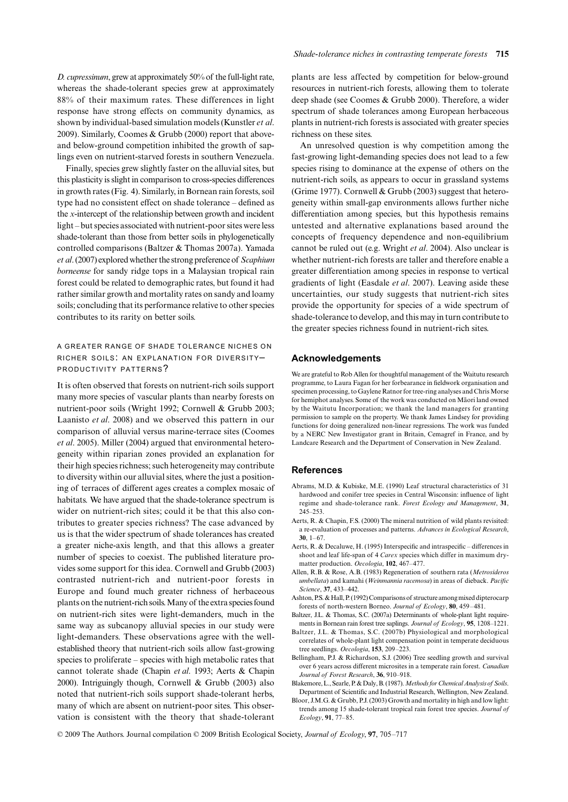*D. cupressinum*, grew at approximately 50% of the full-light rate, whereas the shade-tolerant species grew at approximately 88% of their maximum rates. These differences in light response have strong effects on community dynamics, as shown by individual-based simulation models (Kunstler *et al*. 2009). Similarly, Coomes & Grubb (2000) report that aboveand below-ground competition inhibited the growth of saplings even on nutrient-starved forests in southern Venezuela.

Finally, species grew slightly faster on the alluvial sites, but this plasticity is slight in comparison to cross-species differences in growth rates (Fig. 4). Similarly, in Bornean rain forests, soil type had no consistent effect on shade tolerance – defined as the *x*-intercept of the relationship between growth and incident light – but species associated with nutrient-poor sites were less shade-tolerant than those from better soils in phylogenetically controlled comparisons (Baltzer & Thomas 2007a). Yamada *et al*. (2007) explored whether the strong preference of *Scaphium borneense* for sandy ridge tops in a Malaysian tropical rain forest could be related to demographic rates, but found it had rather similar growth and mortality rates on sandy and loamy soils; concluding that its performance relative to other species contributes to its rarity on better soils.

## A GREATER RANGE OF SHADE TOLERANCE NICHES ON RICHER SOILS: AN EXPLANATION FOR DIVERSITY– PRODUCTIVITY PATTERNS?

It is often observed that forests on nutrient-rich soils support many more species of vascular plants than nearby forests on nutrient-poor soils (Wright 1992; Cornwell & Grubb 2003; Laanisto *et al*. 2008) and we observed this pattern in our comparison of alluvial versus marine-terrace sites (Coomes *et al*. 2005). Miller (2004) argued that environmental heterogeneity within riparian zones provided an explanation for their high species richness; such heterogeneity may contribute to diversity within our alluvial sites, where the just a positioning of terraces of different ages creates a complex mosaic of habitats. We have argued that the shade-tolerance spectrum is wider on nutrient-rich sites; could it be that this also contributes to greater species richness? The case advanced by us is that the wider spectrum of shade tolerances has created a greater niche-axis length, and that this allows a greater number of species to coexist. The published literature provides some support for this idea. Cornwell and Grubb (2003) contrasted nutrient-rich and nutrient-poor forests in Europe and found much greater richness of herbaceous plants on the nutrient-rich soils. Many of the extra species found on nutrient-rich sites were light-demanders, much in the same way as subcanopy alluvial species in our study were light-demanders. These observations agree with the wellestablished theory that nutrient-rich soils allow fast-growing species to proliferate – species with high metabolic rates that cannot tolerate shade (Chapin *et al*. 1993; Aerts & Chapin 2000). Intriguingly though, Cornwell & Grubb (2003) also noted that nutrient-rich soils support shade-tolerant herbs, many of which are absent on nutrient-poor sites. This observation is consistent with the theory that shade-tolerant

plants are less affected by competition for below-ground resources in nutrient-rich forests, allowing them to tolerate deep shade (see Coomes & Grubb 2000). Therefore, a wider spectrum of shade tolerances among European herbaceous plants in nutrient-rich forests is associated with greater species richness on these sites.

An unresolved question is why competition among the fast-growing light-demanding species does not lead to a few species rising to dominance at the expense of others on the nutrient-rich soils, as appears to occur in grassland systems (Grime 1977). Cornwell & Grubb (2003) suggest that heterogeneity within small-gap environments allows further niche differentiation among species, but this hypothesis remains untested and alternative explanations based around the concepts of frequency dependence and non-equilibrium cannot be ruled out (e.g. Wright *et al*. 2004). Also unclear is whether nutrient-rich forests are taller and therefore enable a greater differentiation among species in response to vertical gradients of light (Easdale *et al*. 2007). Leaving aside these uncertainties, our study suggests that nutrient-rich sites provide the opportunity for species of a wide spectrum of shade-tolerance to develop, and this may in turn contribute to the greater species richness found in nutrient-rich sites.

#### **Acknowledgements**

We are grateful to Rob Allen for thoughtful management of the Waitutu research programme, to Laura Fagan for her forbearance in fieldwork organisation and specimen processing, to Gaylene Ratnor for tree-ring analyses and Chris Morse for hemiphot analyses. Some of the work was conducted on Maori land owned by the Waitutu Incorporation; we thank the land managers for granting permission to sample on the property. We thank James Lindsey for providing functions for doing generalized non-linear regressions. The work was funded by a NERC New Investigator grant in Britain, Cemagref in France, and by Landcare Research and the Department of Conservation in New Zealand.

### **References**

- Abrams, M.D. & Kubiske, M.E. (1990) Leaf structural characteristics of 31 hardwood and conifer tree species in Central Wisconsin: influence of light regime and shade-tolerance rank. *Forest Ecology and Management*, **31**, 245–253.
- Aerts, R. & Chapin, F.S. (2000) The mineral nutrition of wild plants revisited: a re-evaluation of processes and patterns. *Advances in Ecological Research*, **30**, 1–67.
- Aerts, R. & Decaluwe, H. (1995) Interspecific and intraspecific differences in shoot and leaf life-span of 4 *Carex* species which differ in maximum drymatter production. *Oecologia*, **102**, 467–477.
- Allen, R.B. & Rose, A.B. (1983) Regeneration of southern rata (*Metrosideros umbellata*) and kamahi (*Weinmannia racemosa*) in areas of dieback. *Pacific Science*, **37**, 433–442.
- Ashton, P.S. & Hall, P. (1992) Comparisons of structure among mixed dipterocarp forests of north-western Borneo. *Journal of Ecology*, **80**, 459–481.
- Baltzer, J.L. & Thomas, S.C. (2007a) Determinants of whole-plant light requirements in Bornean rain forest tree saplings. *Journal of Ecology*, **95**, 1208–1221.
- Baltzer, J.L. & Thomas, S.C. (2007b) Physiological and morphological correlates of whole-plant light compensation point in temperate deciduous tree seedlings. *Oecologia*, **153**, 209–223.
- Bellingham, P.J. & Richardson, S.J. (2006) Tree seedling growth and survival over 6 years across different microsites in a temperate rain forest. *Canadian Journal of Forest Research*, **36**, 910–918.
- Blakemore, L., Searle, P. & Daly, B. (1987). *Methods for Chemical Analysis of Soils*. Department of Scientific and Industrial Research, Wellington, New Zealand.
- Bloor, J.M.G. & Grubb, P.J. (2003) Growth and mortality in high and low light: trends among 15 shade-tolerant tropical rain forest tree species. *Journal of Ecology*, **91**, 77–85.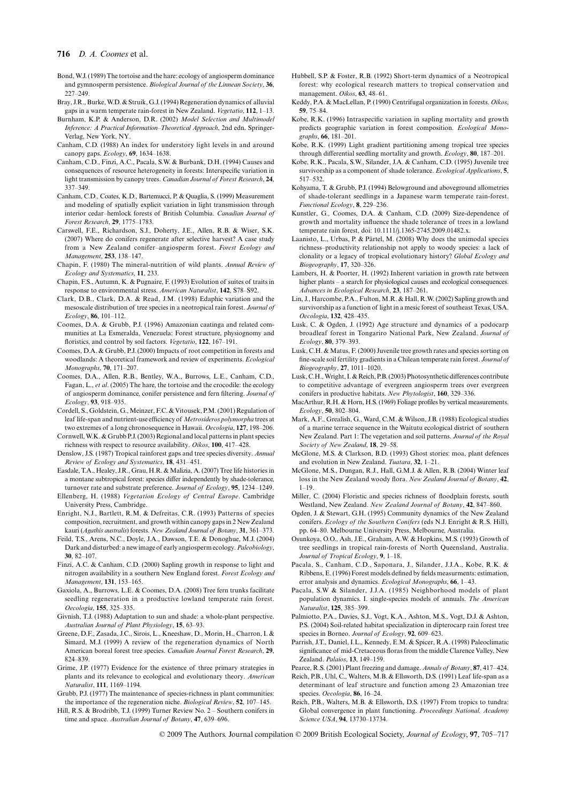#### **716** *D. A. Coomes* et al.

- Bond, W.J. (1989) The tortoise and the hare: ecology of angiosperm dominance and gymnosperm persistence. *Biological Journal of the Linnean Society*, **36**, 227–249.
- Bray, J.R., Burke, W.D. & Struik, G.J. (1994) Regeneration dynamics of alluvial gaps in a warm temperate rain-forest in New Zealand. *Vegetatio*, **112**, 1–13.
- Burnham, K.P. & Anderson, D.R. (2002) *Model Selection and Multimodel Inference: A Practical Information–Theoretical Approach*, 2nd edn. Springer-Verlag, New York, NY.
- Canham, C.D. (1988) An index for understory light levels in and around canopy gaps. *Ecology*, **69**, 1634–1638.
- Canham, C.D., Finzi, A.C., Pacala, S.W. & Burbank, D.H. (1994) Causes and consequences of resource heterogeneity in forests: Interspecific variation in light transmission by canopy trees. *Canadian Journal of Forest Research*, **24**, 337–349.
- Canham, C.D., Coates, K.D., Bartemucci, P. & Quaglia, S. (1999) Measurement and modeling of spatially explicit variation in light transmission through interior cedar–hemlock forests of British Columbia. *Canadian Journal of Forest Research*, **29**, 1775–1783.
- Carswell, F.E., Richardson, S.J., Doherty, J.E., Allen, R.B. & Wiser, S.K. (2007) Where do conifers regenerate after selective harvest? A case study from a New Zealand conifer–angiosperm forest. *Forest Ecology and Management*, **253**, 138–147.
- Chapin, F. (1980) The mineral-nutrition of wild plants. *Annual Review of Ecology and Systematics*, **11**, 233.
- Chapin, F.S., Autumn, K. & Pugnaire, F. (1993) Evolution of suites of traits in response to environmental stress. *American Naturalist*, **142**, S78–S92.
- Clark, D.B., Clark, D.A. & Read, J.M. (1998) Edaphic variation and the mesoscale distribution of tree species in a neotropical rain forest. *Journal of Ecology*, **86**, 101–112.
- Coomes, D.A. & Grubb, P.J. (1996) Amazonian caatinga and related communities at La Esmeralda, Venezuela: Forest structure, physiognomy and floristics, and control by soil factors. *Vegetatio*, **122**, 167–191.
- Coomes, D.A. & Grubb, P.J. (2000) Impacts of root competition in forests and woodlands: A theoretical framework and review of experiments. *Ecological Monographs*, **70**, 171–207.
- Coomes, D.A., Allen, R.B., Bentley, W.A., Burrows, L.E., Canham, C.D., Fagan, L., *et al*. (2005) The hare, the tortoise and the crocodile: the ecology of angiosperm dominance, conifer persistence and fern filtering. *Journal of Ecology*, **93**, 918–935.
- Cordell, S., Goldstein, G., Meinzer, F.C. & Vitousek, P.M. (2001) Regulation of leaf life-span and nutrient-use efficiency of *Metrosideros polymorpha* trees at two extremes of a long chronosequence in Hawaii. *Oecologia*, **127**, 198–206. Cornwell, W.K. & Grubb P.J. (2003) Regional and local patterns in plant species
- richness with respect to resource availability. *Oikos*, **100**, 417–428.
- Denslow, J.S. (1987) Tropical rainforest gaps and tree species diversity. *Annual Review of Ecology and Systematics*, **18**, 431–451.
- Easdale, T.A., Healey, J.R., Grau, H.R. & Malizia, A. (2007) Tree life histories in a montane subtropical forest: species differ independently by shade-tolerance, turnover rate and substrate preference. *Journal of Ecology*, **95**, 1234–1249.
- Ellenberg, H. (1988) *Vegetation Ecology of Central Europe*. Cambridge University Press, Cambridge.
- Enright, N.J., Bartlett, R.M. & Defreitas, C.R. (1993) Patterns of species composition, recruitment, and growth within canopy gaps in 2 New Zealand kauri (*Agathis australis*) forests. *New Zealand Journal of Botany*, **31**, 361–373.
- Feild, T.S., Arens, N.C., Doyle, J.A., Dawson, T.E. & Donoghue, M.J. (2004) Dark and disturbed: a new image of early angiosperm ecology. *Paleobiology*, **30**, 82–107.
- Finzi, A.C. & Canham, C.D. (2000) Sapling growth in response to light and nitrogen availability in a southern New England forest. *Forest Ecology and Management*, **131**, 153–165.
- Gaxiola, A., Burrows, L.E. & Coomes, D.A. (2008) Tree fern trunks facilitate seedling regeneration in a productive lowland temperate rain forest. *Oecologia*, **155**, 325–335.
- Givnish, T.J. (1988) Adaptation to sun and shade: a whole-plant perspective. *Australian Journal of Plant Physiology*, **15**, 63–93.
- Greene, D.F., Zasada, J.C., Sirois, L., Kneeshaw, D., Morin, H., Charron, I. & Simard, M.J. (1999) A review of the regeneration dynamics of North American boreal forest tree species. *Canadian Journal Forest Research*, **29**, 824–839.
- Grime, J.P. (1977) Evidence for the existence of three primary strategies in plants and its relevance to ecological and evolutionary theory. *American Naturalist*, **111**, 1169–1194.
- Grubb, P.J. (1977) The maintenance of species-richness in plant communities: the importance of the regeneration niche. *Biological Review*, **52**, 107–145.
- Hill, R.S. & Brodribb, T.J. (1999) Turner Review No. 2 Southern conifers in time and space. *Australian Journal of Botany*, **47**, 639–696.
- Hubbell, S.P. & Foster, R.B. (1992) Short-term dynamics of a Neotropical forest: why ecological research matters to tropical conservation and management. *Oikos*, **63**, 48–61.
- Keddy, P.A. & MacLellan, P. (1990) Centrifugal organization in forests. *Oikos*, **59**, 75–84.
- Kobe, R.K. (1996) Intraspecific variation in sapling mortality and growth predicts geographic variation in forest composition. *Ecological Monographs*, **66**, 181–201.
- Kobe, R.K. (1999) Light gradient partitioning among tropical tree species through differential seedling mortality and growth. *Ecology*, **80**, 187–201.
- Kobe, R.K., Pacala, S.W., Silander, J.A. & Canham, C.D. (1995) Juvenile tree survivorship as a component of shade tolerance. *Ecological Applications*, **5**, 517–532.
- Kohyama, T. & Grubb, P.J. (1994) Belowground and aboveground allometries of shade-tolerant seedlings in a Japanese warm temperate rain-forest. *Functional Ecology*, **8**, 229–236.
- Kunstler, G., Coomes, D.A. & Canham, C.D. (2009) Size-dependence of growth and mortality influence the shade tolerance of trees in a lowland temperate rain forest, doi: 10.1111/j.1365-2745.2009.01482.x.
- Laanisto, L., Urbas, P. & Pärtel, M. (2008) Why does the unimodal species richness–productivity relationship not apply to woody species: a lack of clonality or a legacy of tropical evolutionary history? *Global Ecology and Biogeography*, **17**, 320–326.
- Lambers, H. & Poorter, H. (1992) Inherent variation in growth rate between higher plants – a search for physiological causes and ecological consequences. *Advances in Ecological Research*, **23**, 187–261.
- Lin, J., Harcombe, P.A., Fulton, M.R. & Hall, R.W. (2002) Sapling growth and survivorship as a function of light in a mesic forest of southeast Texas, USA. *Oecologia*, **132**, 428–435.
- Lusk, C. & Ogden, J. (1992) Age structure and dynamics of a podocarp broadleaf forest in Tongariro National Park, New Zealand. *Journal of Ecology*, **80**, 379–393.
- Lusk, C.H. & Matus, F. (2000) Juvenile tree growth rates and species sorting on fine-scale soil fertility gradients in a Chilean temperate rain forest. *Journal of Biogeography*, **27**, 1011–1020.
- Lusk, C.H., Wright, I. & Reich, P.B. (2003) Photosynthetic differences contribute to competitive advantage of evergreen angiosperm trees over evergreen conifers in productive habitats. *New Phytologist*, **160**, 329–336.
- MacArthur, R.H. & Horn, H.S. (1969) Foliage profiles by vertical measurements. *Ecology*, **50**, 802–804.
- Mark, A.F., Grealish, G., Ward, C.M. & Wilson, J.B. (1988) Ecological studies of a marine terrace sequence in the Waitutu ecological district of southern New Zealand. Part 1: The vegetation and soil patterns. *Journal of the Royal Society of New Zealand*, **18**, 29–58.
- McGlone, M.S. & Clarkson, B.D. (1993) Ghost stories: moa, plant defences and evolution in New Zealand. *Tuatara*, **32**, 1–21.
- McGlone, M.S., Dungan, R.J., Hall, G.M.J. & Allen, R.B. (2004) Winter leaf loss in the New Zealand woody flora. *New Zealand Journal of Botany*, **42**,  $1 - 19$
- Miller, C. (2004) Floristic and species richness of floodplain forests, south Westland, New Zealand. *New Zealand Journal of Botany*, **42**, 847–860.
- Ogden, J. & Stewart, G.H. (1995) Community dynamics of the New Zealand conifers. *Ecology of the Southern Conifers* (eds N.J. Enright & R.S. Hill), pp. 64–80. Melbourne University Press, Melbourne, Australia.
- Osunkoya, O.O., Ash, J.E., Graham, A.W. & Hopkins, M.S. (1993) Growth of tree seedlings in tropical rain-forests of North Queensland, Australia. *Journal of Tropical Ecology*, **9**, 1–18.
- Pacala, S., Canham, C.D., Saponara, J., Silander, J.J.A., Kobe, R.K. & Ribbens, E. (1996) Forest models defined by fields measurments: estimation, error analysis and dynamics. *Ecological Monographs*, **66**, 1–43.
- Pacala, S.W & Silander, J.J.A. (1985) Neighborhood models of plant population dynamics. I. single-species models of annuals. *The American Naturalist*, **125**, 385–399.
- Palmiotto, P.A., Davies, S.J., Vogt, K.A., Ashton, M.S., Vogt, D.J. & Ashton, P.S. (2004) Soil-related habitat specialization in dipterocarp rain forest tree species in Borneo. *Journal of Ecology*, **92**, 609–623.
- Parrish, J.T., Daniel, I.L., Kennedy, E.M. & Spicer, R.A. (1998) Paleoclimatic significance of mid-Cretaceous floras from the middle Clarence Valley, New Zealand. *Palaios*, **13**, 149–159.
- Pearce, R.S. (2001) Plant freezing and damage. *Annals of Botany*, **87**, 417–424.
- Reich, P.B., Uhl, C., Walters, M.B. & Ellsworth, D.S. (1991) Leaf life-span as a determinant of leaf structure and function among 23 Amazonian tree species. *Oecologia*, **86**, 16–24.
- Reich, P.B., Walters, M.B. & Ellsworth, D.S. (1997) From tropics to tundra: Global convergence in plant functioning. *Proceedings National. Academy Science USA*, **94**, 13730–13734.